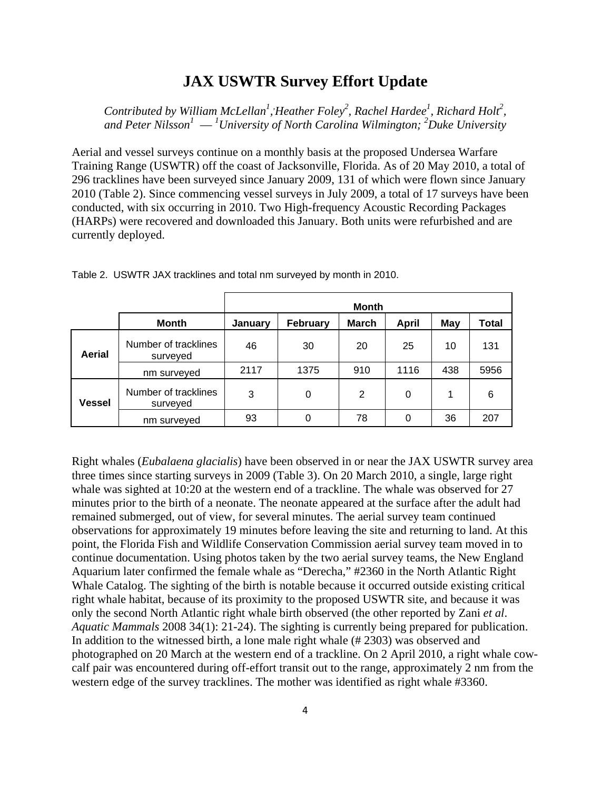## **JAX USWTR Survey Effort Update**

*Contributed by William McLellan<sup>1</sup>, Heather Foley<sup>2</sup>, Rachel Hardee<sup>1</sup>, Richard Holt<sup>2</sup>,* and Peter Nilsson<sup>1</sup> — <sup>1</sup>University of North Carolina Wilmington; <sup>2</sup>Duke University

Aerial and vessel surveys continue on a monthly basis at the proposed Undersea Warfare Training Range (USWTR) off the coast of Jacksonville, Florida. As of 20 May 2010, a total of 296 tracklines have been surveyed since January 2009, 131 of which were flown since January 2010 (Table 2). Since commencing vessel surveys in July 2009, a total of 17 surveys have been conducted, with six occurring in 2010. Two High-frequency Acoustic Recording Packages (HARPs) were recovered and downloaded this January. Both units were refurbished and are currently deployed.

|               |                                  | <b>Month</b> |          |                |       |     |       |  |  |
|---------------|----------------------------------|--------------|----------|----------------|-------|-----|-------|--|--|
|               | <b>Month</b>                     |              | February | <b>March</b>   | April | May | Total |  |  |
| Aerial        | Number of tracklines<br>surveyed | 46           | 30       | 20             | 25    | 10  | 131   |  |  |
|               | nm surveyed                      | 2117         | 1375     | 910            | 1116  | 438 | 5956  |  |  |
| <b>Vessel</b> | Number of tracklines<br>surveyed | 3            | 0        | $\overline{2}$ | 0     | 1   | 6     |  |  |
|               | nm surveyed                      | 93           | 0        | 78             | 0     | 36  | 207   |  |  |

Table 2. USWTR JAX tracklines and total nm surveyed by month in 2010.

Right whales (*Eubalaena glacialis*) have been observed in or near the JAX USWTR survey area three times since starting surveys in 2009 (Table 3). On 20 March 2010, a single, large right whale was sighted at 10:20 at the western end of a trackline. The whale was observed for 27 minutes prior to the birth of a neonate. The neonate appeared at the surface after the adult had remained submerged, out of view, for several minutes. The aerial survey team continued observations for approximately 19 minutes before leaving the site and returning to land. At this point, the Florida Fish and Wildlife Conservation Commission aerial survey team moved in to continue documentation. Using photos taken by the two aerial survey teams, the New England Aquarium later confirmed the female whale as "Derecha," #2360 in the North Atlantic Right Whale Catalog. The sighting of the birth is notable because it occurred outside existing critical right whale habitat, because of its proximity to the proposed USWTR site, and because it was only the second North Atlantic right whale birth observed (the other reported by Zani *et al*. *Aquatic Mammals* 2008 34(1): 21-24). The sighting is currently being prepared for publication. In addition to the witnessed birth, a lone male right whale (# 2303) was observed and photographed on 20 March at the western end of a trackline. On 2 April 2010, a right whale cowcalf pair was encountered during off-effort transit out to the range, approximately 2 nm from the western edge of the survey tracklines. The mother was identified as right whale #3360.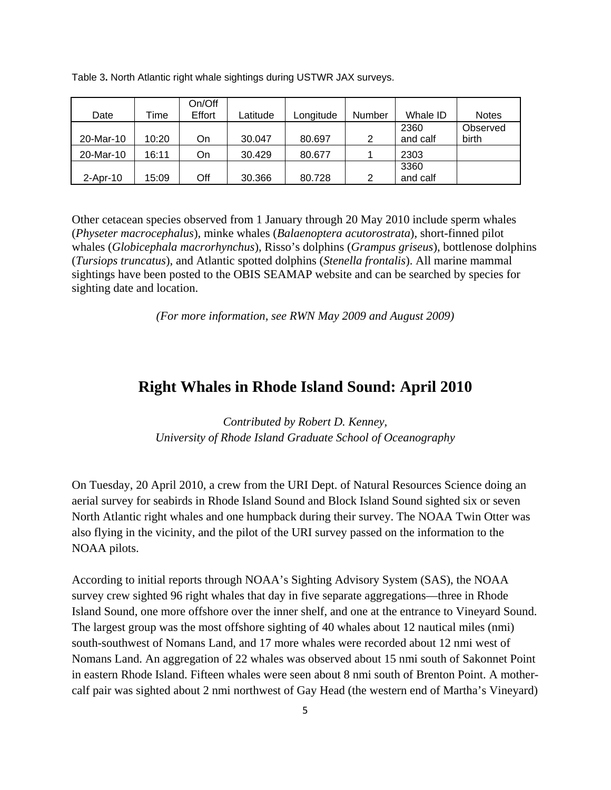| Date            | Time  | On/Off<br>Effort | _atitude | Longitude | Number | Whale ID         | <b>Notes</b>      |
|-----------------|-------|------------------|----------|-----------|--------|------------------|-------------------|
| 20-Mar-10       | 10:20 | On               | 30.047   | 80.697    | 2      | 2360<br>and calf | Observed<br>birth |
| 20-Mar-10       | 16:11 | On               | 30.429   | 80.677    |        | 2303             |                   |
| $2 -$ Apr $-10$ | 15:09 | Off              | 30.366   | 80.728    | 2      | 3360<br>and calf |                   |

Table 3**.** North Atlantic right whale sightings during USTWR JAX surveys.

Other cetacean species observed from 1 January through 20 May 2010 include sperm whales (*Physeter macrocephalus*), minke whales (*Balaenoptera acutorostrata*), short-finned pilot whales (*Globicephala macrorhynchus*), Risso's dolphins (*Grampus griseus*), bottlenose dolphins (*Tursiops truncatus*), and Atlantic spotted dolphins (*Stenella frontalis*). All marine mammal sightings have been posted to the OBIS SEAMAP website and can be searched by species for sighting date and location.

*(For more information, see RWN May 2009 and August 2009)* 

## **Right Whales in Rhode Island Sound: April 2010**

*Contributed by Robert D. Kenney, University of Rhode Island Graduate School of Oceanography* 

On Tuesday, 20 April 2010, a crew from the URI Dept. of Natural Resources Science doing an aerial survey for seabirds in Rhode Island Sound and Block Island Sound sighted six or seven North Atlantic right whales and one humpback during their survey. The NOAA Twin Otter was also flying in the vicinity, and the pilot of the URI survey passed on the information to the NOAA pilots.

According to initial reports through NOAA's Sighting Advisory System (SAS), the NOAA survey crew sighted 96 right whales that day in five separate aggregations—three in Rhode Island Sound, one more offshore over the inner shelf, and one at the entrance to Vineyard Sound. The largest group was the most offshore sighting of 40 whales about 12 nautical miles (nmi) south-southwest of Nomans Land, and 17 more whales were recorded about 12 nmi west of Nomans Land. An aggregation of 22 whales was observed about 15 nmi south of Sakonnet Point in eastern Rhode Island. Fifteen whales were seen about 8 nmi south of Brenton Point. A mothercalf pair was sighted about 2 nmi northwest of Gay Head (the western end of Martha's Vineyard)